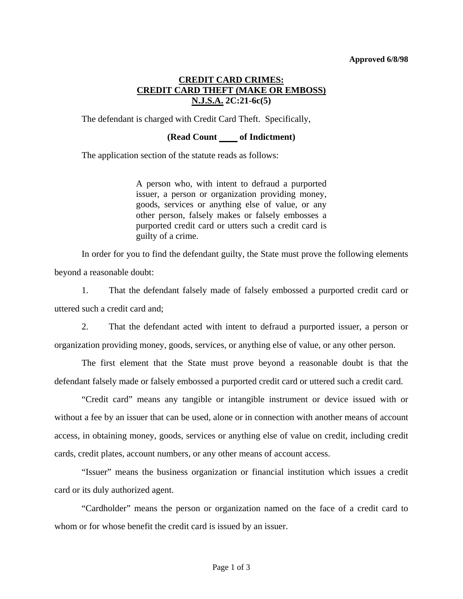## **Approved 6/8/98**

## **CREDIT CARD CRIMES: CREDIT CARD THEFT (MAKE OR EMBOSS) N.J.S.A. 2C:21-6c(5)**

The defendant is charged with Credit Card Theft. Specifically,

## **(Read Count of Indictment)**

The application section of the statute reads as follows:

A person who, with intent to defraud a purported issuer, a person or organization providing money, goods, services or anything else of value, or any other person, falsely makes or falsely embosses a purported credit card or utters such a credit card is guilty of a crime.

 In order for you to find the defendant guilty, the State must prove the following elements beyond a reasonable doubt:

 1. That the defendant falsely made of falsely embossed a purported credit card or uttered such a credit card and;

 2. That the defendant acted with intent to defraud a purported issuer, a person or organization providing money, goods, services, or anything else of value, or any other person.

 The first element that the State must prove beyond a reasonable doubt is that the defendant falsely made or falsely embossed a purported credit card or uttered such a credit card.

 "Credit card" means any tangible or intangible instrument or device issued with or without a fee by an issuer that can be used, alone or in connection with another means of account access, in obtaining money, goods, services or anything else of value on credit, including credit cards, credit plates, account numbers, or any other means of account access.

<span id="page-0-0"></span> "Issuer" means the business organization or financial institution which issues a credit card or its duly authorized agent.

 "Cardholder" means the person or organization named on the face of a credit card to whom or for whose benefit the credit card is issued by an issuer.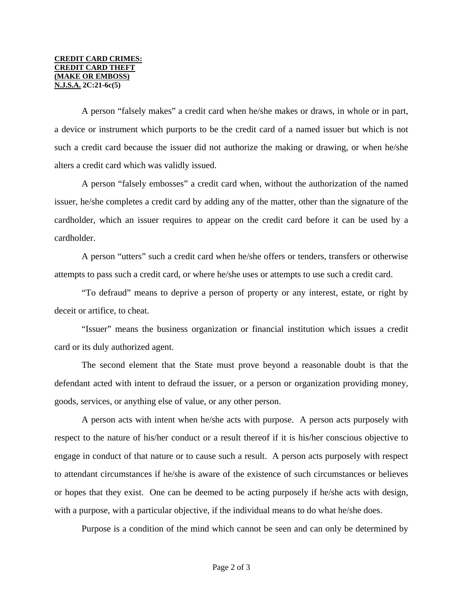A person "falsely makes" a credit card when he/she makes or draws, in whole or in part, a device or instrument which purports to be the credit card of a named issuer but which is not such a credit card because the issuer did not authorize the making or drawing, or when he/she alters a credit card which was validly issued.

 A person "falsely embosses" a credit card when, without the authorization of the named issuer, he/she completes a credit card by adding any of the matter, other than the signature of the cardholder, which an issuer requires to appear on the credit card before it can be used by a cardholder.

 A person "utters" such a credit card when he/she offers or tenders, transfers or otherwise attempts to pass such a credit card, or where he/she uses or attempts to use such a credit card.

 "To defraud" means to deprive a person of property or any interest, estate, or right by deceit or artifice, to cheat.

 "Issuer" means the business organization or financial institution which issues a credit card or its duly authorized agent.

 The second element that the State must prove beyond a reasonable doubt is that the defendant acted with intent to defraud the issuer, or a person or organization providing money, goods, services, or anything else of value, or any other person.

 A person acts with intent when he/she acts with purpose. A person acts purposely with respect to the nature of his/her conduct or a result thereof if it is his/her conscious objective to engage in conduct of that nature or to cause such a result. A person acts purposely with respect to attendant circumstances if he/she is aware of the existence of such circumstances or believes or hopes that they exist. One can be deemed to be acting purposely if he/she acts with design, with a purpose, with a particular objective, if the individual means to do what he/she does.

Purpose is a condition of the mind which cannot be seen and can only be determined by